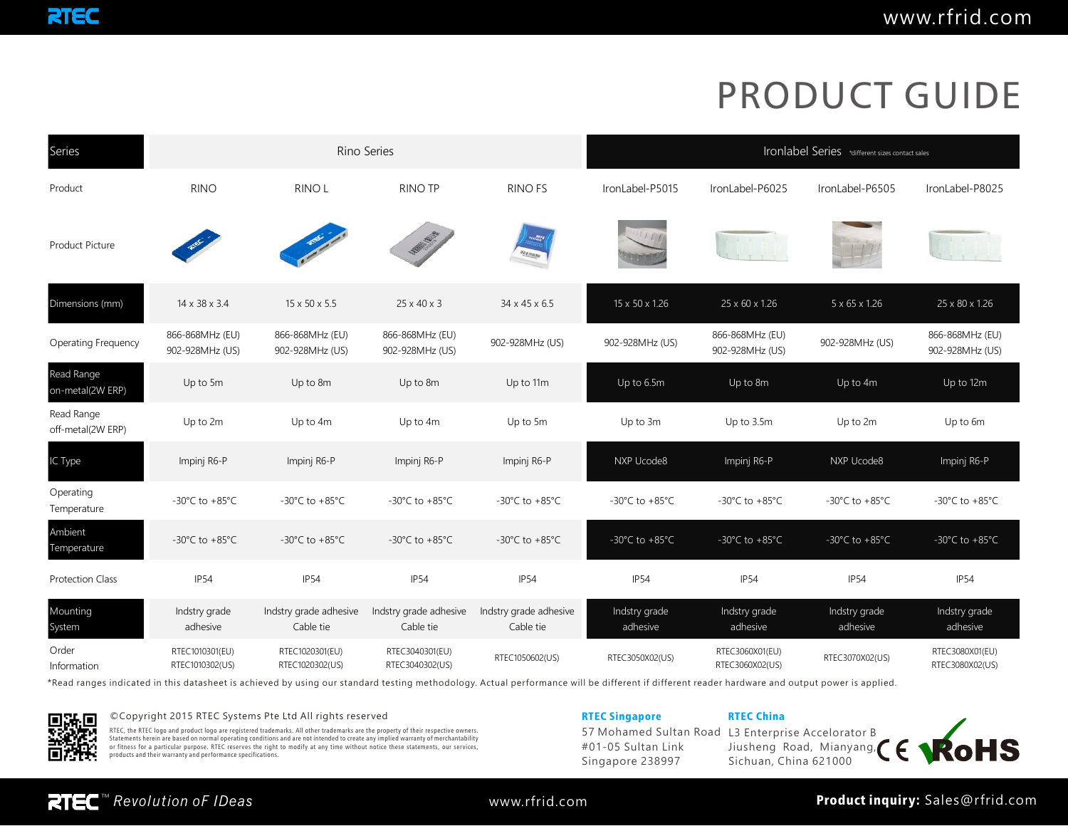| Series                          |                                      |                                      | Rino Series                          |                                                                  | Ironlabel Series *different sizes contact sales |                                      |                                      |                                      |  |
|---------------------------------|--------------------------------------|--------------------------------------|--------------------------------------|------------------------------------------------------------------|-------------------------------------------------|--------------------------------------|--------------------------------------|--------------------------------------|--|
| Product                         | <b>RINO</b>                          | RINO <sub>L</sub>                    | <b>RINO TP</b>                       | <b>RINO FS</b>                                                   | IronLabel-P5015                                 | IronLabel-P6025                      | IronLabel-P6505                      | IronLabel-P8025                      |  |
| <b>Product Picture</b>          |                                      |                                      | <b>MARINE RIVER</b>                  | $\frac{E_{\overline{q}}}{\log_{10}T}$<br>$\frac{N}{2}$ ( $N N M$ |                                                 |                                      |                                      |                                      |  |
| Dimensions (mm)                 | 14 x 38 x 3.4                        | 15 x 50 x 5.5                        | $25 \times 40 \times 3$              | 34 x 45 x 6.5                                                    | 15 x 50 x 1.26                                  | 25 x 60 x 1.26                       | 5 x 65 x 1.26                        | 25 x 80 x 1.26                       |  |
| <b>Operating Frequency</b>      | 866-868MHz (EU)<br>902-928MHz (US)   | 866-868MHz (EU)<br>902-928MHz (US)   | 866-868MHz (EU)<br>902-928MHz (US)   | 902-928MHz (US)                                                  | 902-928MHz (US)                                 | 866-868MHz (EU)<br>902-928MHz (US)   | 902-928MHz (US)                      | 866-868MHz (EU)<br>902-928MHz (US)   |  |
| Read Range<br>on-metal(2W ERP)  | Up to 5m                             | Up to 8m                             | Up to 8m                             | Up to 11m                                                        | Up to 6.5m                                      | Up to 8m                             | Up to 4m                             | Up to 12m                            |  |
| Read Range<br>off-metal(2W ERP) | Up to 2m                             | Up to 4m                             | Up to 4m                             | Up to 5m                                                         | Up to 3m                                        | Up to 3.5m                           | Up to 2m                             | Up to 6m                             |  |
| IC Type                         | Impinj R6-P                          | Impinj R6-P                          | Impinj R6-P                          | Impinj R6-P                                                      | NXP Ucode8                                      | Impinj R6-P                          | NXP Ucode8                           | Impinj R6-P                          |  |
| Operating<br>Temperature        | -30 $^{\circ}$ C to +85 $^{\circ}$ C | -30 $^{\circ}$ C to +85 $^{\circ}$ C | -30 $^{\circ}$ C to +85 $^{\circ}$ C | -30 $^{\circ}$ C to +85 $^{\circ}$ C                             | -30°C to +85°C                                  | -30 $^{\circ}$ C to +85 $^{\circ}$ C | -30 $^{\circ}$ C to +85 $^{\circ}$ C | -30 $^{\circ}$ C to +85 $^{\circ}$ C |  |
| Ambient<br>Temperature          | $-30^{\circ}$ C to $+85^{\circ}$ C   | -30 $^{\circ}$ C to +85 $^{\circ}$ C | $-30^{\circ}$ C to $+85^{\circ}$ C   | -30 $^{\circ}$ C to +85 $^{\circ}$ C                             | $-30^{\circ}$ C to $+85^{\circ}$ C              | $-30^{\circ}$ C to $+85^{\circ}$ C   | $-30^{\circ}$ C to $+85^{\circ}$ C   | -30 $^{\circ}$ C to +85 $^{\circ}$ C |  |
| <b>Protection Class</b>         | IP54                                 | IP54                                 | <b>IP54</b>                          | <b>IP54</b>                                                      | <b>IP54</b>                                     | <b>IP54</b>                          | <b>IP54</b>                          | <b>IP54</b>                          |  |
| Mounting<br>System              | Indstry grade<br>adhesive            | Indstry grade adhesive<br>Cable tie  | Indstry grade adhesive<br>Cable tie  | Indstry grade adhesive<br>Cable tie                              | Indstry grade<br>adhesive                       | Indstry grade<br>adhesive            | Indstry grade<br>adhesive            | Indstry grade<br>adhesive            |  |
| Order<br>Information            | RTEC1010301(EU)<br>RTEC1010302(US)   | RTEC1020301(EU)<br>RTEC1020302(US)   | RTEC3040301(EU)<br>RTEC3040302(US)   | RTEC1050602(US)                                                  | RTEC3050X02(US)                                 | RTEC3060X01(EU)<br>RTEC3060X02(US)   | RTEC3070X02(US)                      | RTEC3080X01(EU)<br>RTEC3080X02(US)   |  |

\*Read ranges indicated in this datasheet is achieved by using our standard testing methodology. Actual performance will be different if different reader hardware and output power is applied.



©Copyright 2015 RTEC Systems Pte Ltd All rights reserved **RTEC Systems Pte China** RTEC Singapore RTEC China

RTEC, the RTEC logo and product logo are registered trademarks. All other trademarks are the property of their respective owners.<br>Statements herein are based on normal operating conditions and are not intended to create an

57 Mohamed Sultan Road #01-05 Sultan Link Singapore 238997

L3 Enterprise Accelorator B Jiusheng Road, Mianyang, Sichuan, China 621000

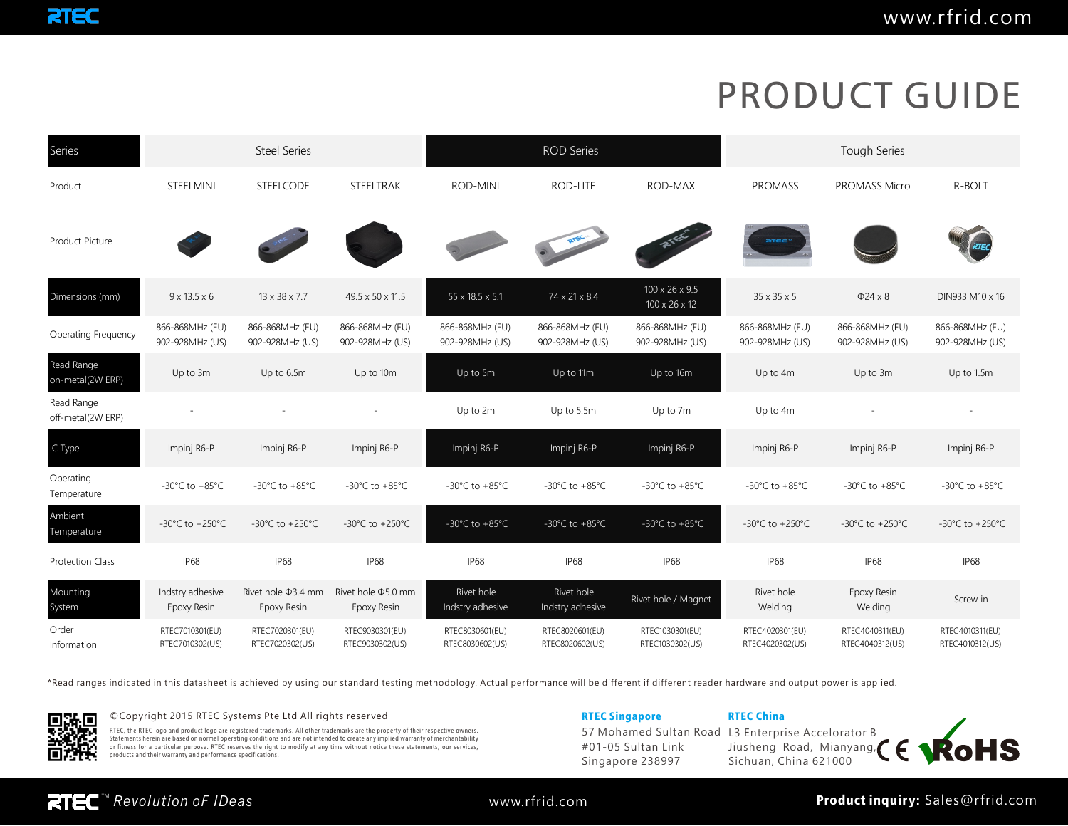| Series                          | <b>Steel Series</b>                   |                                         |                                         |                                    | <b>ROD Series</b>                  |                                             | <b>Tough Series</b>                 |                                      |                                       |  |
|---------------------------------|---------------------------------------|-----------------------------------------|-----------------------------------------|------------------------------------|------------------------------------|---------------------------------------------|-------------------------------------|--------------------------------------|---------------------------------------|--|
| Product                         | STEELMINI                             | STEELCODE                               | STEELTRAK                               | <b>ROD-MINI</b>                    | ROD-LITE                           | ROD-MAX                                     | <b>PROMASS</b>                      | PROMASS Micro                        | R-BOLT                                |  |
| Product Picture                 |                                       |                                         |                                         |                                    | <b>RTEC</b>                        |                                             | arec <sup>-</sup>                   |                                      |                                       |  |
| Dimensions (mm)                 | $9 \times 13.5 \times 6$              | 13 x 38 x 7.7                           | 49.5 x 50 x 11.5                        | 55 x 18.5 x 5.1                    | 74 x 21 x 8.4                      | 100 x 26 x 9.5<br>$100 \times 26 \times 12$ | 35 x 35 x 5                         | $\Phi$ 24 x 8                        | DIN933 M10 x 16                       |  |
| <b>Operating Frequency</b>      | 866-868MHz (EU)<br>902-928MHz (US)    | 866-868MHz (EU)<br>902-928MHz (US)      | 866-868MHz (EU)<br>902-928MHz (US)      | 866-868MHz (EU)<br>902-928MHz (US) | 866-868MHz (EU)<br>902-928MHz (US) | 866-868MHz (EU)<br>902-928MHz (US)          | 866-868MHz (EU)<br>902-928MHz (US)  | 866-868MHz (EU)<br>902-928MHz (US)   | 866-868MHz (EU)<br>902-928MHz (US)    |  |
| Read Range<br>on-metal(2W ERP)  | Up to 3m                              | Up to 6.5m                              | Up to 10m                               | Up to 5m                           | Up to 11m                          | Up to 16m                                   | Up to 4m                            | Up to 3m                             | Up to 1.5m                            |  |
| Read Range<br>off-metal(2W ERP) |                                       |                                         |                                         | Up to 2m                           | Up to 5.5m                         | Up to 7m                                    | Up to 4m                            |                                      |                                       |  |
| IC Type                         | Impinj R6-P                           | Impinj R6-P                             | Impinj R6-P                             | Impinj R6-P                        | Impinj R6-P                        | Impinj R6-P                                 | Impinj R6-P                         | Impinj R6-P                          | Impinj R6-P                           |  |
| Operating<br>Temperature        | $-30^{\circ}$ C to $+85^{\circ}$ C    | $-30^{\circ}$ C to $+85^{\circ}$ C      | -30°C to +85°C                          | -30°C to $+85^{\circ}$ C           | -30°C to +85°C                     | -30 $^{\circ}$ C to +85 $^{\circ}$ C        | -30°C to $+85^{\circ}$ C            | -30 $^{\circ}$ C to +85 $^{\circ}$ C | -30°C to +85°C                        |  |
| Ambient<br>Temperature          | -30 $^{\circ}$ C to +250 $^{\circ}$ C | $-30^{\circ}$ C to $+250^{\circ}$ C     | $-30^{\circ}$ C to $+250^{\circ}$ C     | $-30^{\circ}$ C to $+85^{\circ}$ C | $-30^{\circ}$ C to $+85^{\circ}$ C | $-30^{\circ}$ C to $+85^{\circ}$ C          | $-30^{\circ}$ C to $+250^{\circ}$ C | $-30^{\circ}$ C to $+250^{\circ}$ C  | -30 $^{\circ}$ C to +250 $^{\circ}$ C |  |
| <b>Protection Class</b>         | IP <sub>68</sub>                      | <b>IP68</b>                             | <b>IP68</b>                             | IP68                               | <b>IP68</b>                        | <b>IP68</b>                                 | <b>IP68</b>                         | IP <sub>68</sub>                     | IP <sub>68</sub>                      |  |
| Mounting<br>System              | Indstry adhesive<br>Epoxy Resin       | Rivet hole $\Phi$ 3.4 mm<br>Epoxy Resin | Rivet hole $\Phi$ 5.0 mm<br>Epoxy Resin | Rivet hole<br>Indstry adhesive     | Rivet hole<br>Indstry adhesive     | Rivet hole / Magnet                         | Rivet hole<br>Welding               | Epoxy Resin<br>Welding               | Screw in                              |  |
| Order<br>Information            | RTEC7010301(EU)<br>RTEC7010302(US)    | RTEC7020301(EU)<br>RTEC7020302(US)      | RTEC9030301(EU)<br>RTEC9030302(US)      | RTEC8030601(EU)<br>RTEC8030602(US) | RTEC8020601(EU)<br>RTEC8020602(US) | RTEC1030301(EU)<br>RTEC1030302(US)          | RTEC4020301(EU)<br>RTEC4020302(US)  | RTEC4040311(EU)<br>RTEC4040312(US)   | RTEC4010311(EU)<br>RTEC4010312(US)    |  |

\*Read ranges indicated in this datasheet is achieved by using our standard testing methodology. Actual performance will be different if different reader hardware and output power is applied.



### ©Copyright 2015 RTEC Systems Pte Ltd All rights reserved **RTEC Systems Pte China** RTEC Singapore RTEC China

RTEC, the RTEC logo and product logo are registered trademarks. All other trademarks are the property of their respective owners.<br>Statements herein are based on normal operating conditions and are not intended to create an

57 Mohamed Sultan Road #01-05 Sultan Link Singapore 238997

L3 Enterprise Accelorator B Jiusheng Road, Mianyang, Sichuan, China 621000

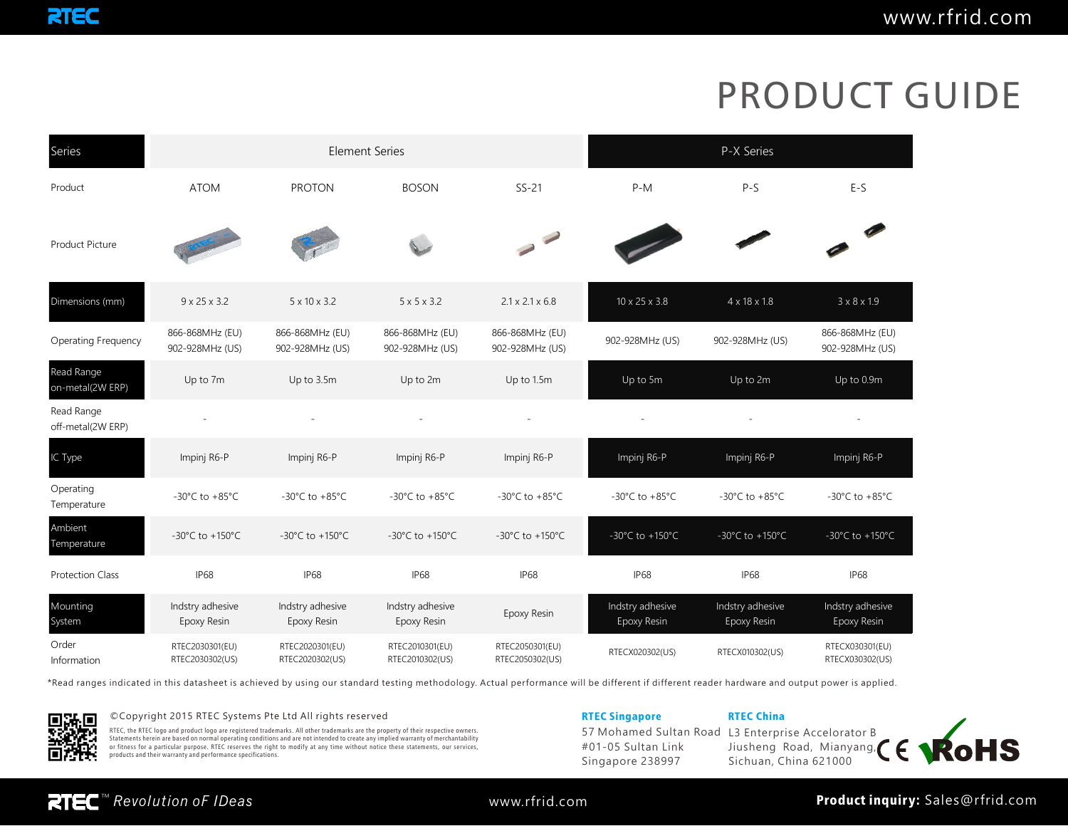| Series                          |                                      | <b>Element Series</b>                |                                      | P-X Series                         |                                      |                                       |                                      |
|---------------------------------|--------------------------------------|--------------------------------------|--------------------------------------|------------------------------------|--------------------------------------|---------------------------------------|--------------------------------------|
| Product                         | <b>ATOM</b>                          | <b>PROTON</b>                        | <b>BOSON</b>                         | $SS-21$                            | $P-M$                                | $P-S$                                 | $E-S$                                |
| <b>Product Picture</b>          |                                      |                                      |                                      |                                    |                                      |                                       |                                      |
| Dimensions (mm)                 | $9 \times 25 \times 3.2$             | $5 \times 10 \times 3.2$             | $5 \times 5 \times 3.2$              | $2.1 \times 2.1 \times 6.8$        | $10 \times 25 \times 3.8$            | $4 \times 18 \times 1.8$              | $3 \times 8 \times 1.9$              |
| <b>Operating Frequency</b>      | 866-868MHz (EU)<br>902-928MHz (US)   | 866-868MHz (EU)<br>902-928MHz (US)   | 866-868MHz (EU)<br>902-928MHz (US)   | 866-868MHz (EU)<br>902-928MHz (US) | 902-928MHz (US)                      | 902-928MHz (US)                       | 866-868MHz (EU)<br>902-928MHz (US)   |
| Read Range<br>on-metal(2W ERP)  | Up to 7m                             | Up to 3.5m                           | Up to 2m                             | Up to 1.5m                         | Up to 5m                             | Up to 2m                              | Up to 0.9m                           |
| Read Range<br>off-metal(2W ERP) |                                      |                                      |                                      |                                    |                                      |                                       |                                      |
| IC Type                         | Impinj R6-P                          | Impinj R6-P                          | Impinj R6-P                          | Impinj R6-P                        | Impinj R6-P                          | Impinj R6-P                           | Impinj R6-P                          |
| Operating<br>Temperature        | -30 $^{\circ}$ C to +85 $^{\circ}$ C | -30 $^{\circ}$ C to +85 $^{\circ}$ C | -30 $^{\circ}$ C to +85 $^{\circ}$ C | -30°C to +85°C                     | -30 $^{\circ}$ C to +85 $^{\circ}$ C | -30°C to +85°C                        | -30 $^{\circ}$ C to +85 $^{\circ}$ C |
| Ambient<br>Temperature          | -30°C to +150°C                      | -30°C to +150°C                      | -30°C to +150°C                      | -30°C to +150°C                    | -30°C to +150°C                      | -30 $^{\circ}$ C to +150 $^{\circ}$ C | -30°C to +150°C                      |
| <b>Protection Class</b>         | <b>IP68</b>                          | <b>IP68</b>                          | <b>IP68</b>                          | IP <sub>68</sub>                   | <b>IP68</b>                          | IP <sub>68</sub>                      | IP <sub>68</sub>                     |
| Mounting<br>System              | Indstry adhesive<br>Epoxy Resin      | Indstry adhesive<br>Epoxy Resin      | Indstry adhesive<br>Epoxy Resin      | Epoxy Resin                        | Indstry adhesive<br>Epoxy Resin      | Indstry adhesive<br>Epoxy Resin       | Indstry adhesive<br>Epoxy Resin      |
| Order<br>Information            | RTEC2030301(EU)<br>RTEC2030302(US)   | RTEC2020301(EU)<br>RTEC2020302(US)   | RTEC2010301(EU)<br>RTEC2010302(US)   | RTEC2050301(EU)<br>RTEC2050302(US) | RTECX020302(US)                      | RTECX010302(US)                       | RTECX030301(EU)<br>RTECX030302(US)   |

\*Read ranges indicated in this datasheet is achieved by using our standard testing methodology. Actual performance will be different if different reader hardware and output power is applied.



**RTEC** 

## ©Copyright 2015 RTEC Systems Pte Ltd All rights reserved **RTEC Systems Pte China** RTEC Singapore RTEC China

RTEC, the RTEC logo and product logo are registered trademarks. All other trademarks are the property of their respective owners.<br>Statements herein are based on normal operating conditions and are not intended to create an

57 Mohamed Sultan Road #01-05 Sultan Link Singapore 238997

L3 Enterprise Accelorator B Jiusheng Road, Mianyang, Sichuan, China 621000

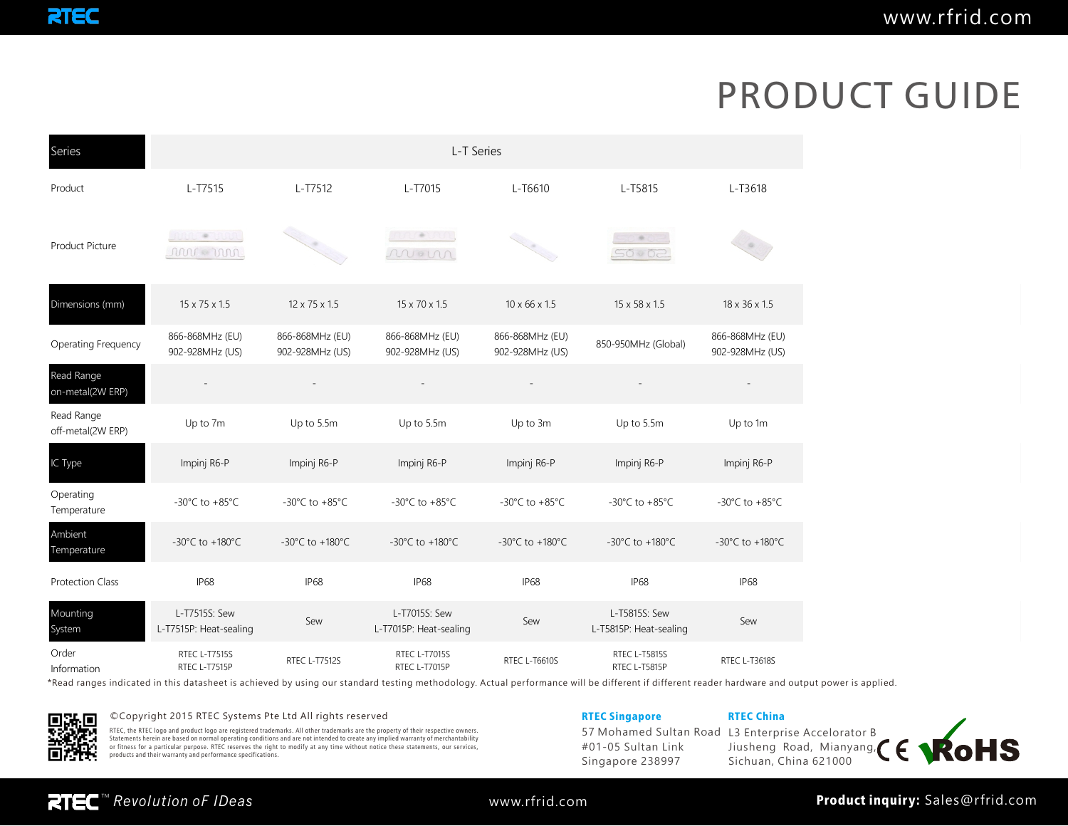| Series                          | L-T Series                              |                                      |                                         |                                      |                                         |                                      |  |  |  |  |
|---------------------------------|-----------------------------------------|--------------------------------------|-----------------------------------------|--------------------------------------|-----------------------------------------|--------------------------------------|--|--|--|--|
| Product                         | L-T7515                                 | L-T7512                              | L-T7015                                 | L-T6610                              | L-T5815                                 | L-T3618                              |  |  |  |  |
| Product Picture                 | innu o Thun<br>re me                    |                                      | <b>AUTOROUNI</b><br>mon                 |                                      | 9<<br>50002                             |                                      |  |  |  |  |
| Dimensions (mm)                 | 15 x 75 x 1.5                           | 12 x 75 x 1.5                        | 15 x 70 x 1.5                           | $10 \times 66 \times 1.5$            | 15 x 58 x 1.5                           | 18 x 36 x 1.5                        |  |  |  |  |
| <b>Operating Frequency</b>      | 866-868MHz (EU)<br>902-928MHz (US)      | 866-868MHz (EU)<br>902-928MHz (US)   | 866-868MHz (EU)<br>902-928MHz (US)      | 866-868MHz (EU)<br>902-928MHz (US)   | 850-950MHz (Global)                     | 866-868MHz (EU)<br>902-928MHz (US)   |  |  |  |  |
| Read Range<br>on-metal(2W ERP)  |                                         |                                      |                                         |                                      |                                         |                                      |  |  |  |  |
| Read Range<br>off-metal(2W ERP) | Up to 7m                                | Up to 5.5m                           | Up to 5.5m                              | Up to 3m                             | Up to 5.5m                              | Up to 1m                             |  |  |  |  |
| IC Type                         | Impinj R6-P                             | Impinj R6-P                          | Impinj R6-P                             | Impinj R6-P                          | Impinj R6-P                             | Impinj R6-P                          |  |  |  |  |
| Operating<br>Temperature        | -30 $^{\circ}$ C to +85 $^{\circ}$ C    | -30 $^{\circ}$ C to +85 $^{\circ}$ C | -30 $^{\circ}$ C to +85 $^{\circ}$ C    | -30 $^{\circ}$ C to +85 $^{\circ}$ C | -30 $^{\circ}$ C to +85 $^{\circ}$ C    | -30 $^{\circ}$ C to +85 $^{\circ}$ C |  |  |  |  |
| Ambient<br>Temperature          | $-30^{\circ}$ C to $+180^{\circ}$ C     | $-30^{\circ}$ C to $+180^{\circ}$ C  | $-30^{\circ}$ C to $+180^{\circ}$ C     | -30°C to +180°C                      | -30°C to +180°C                         | -30°C to +180°C                      |  |  |  |  |
| <b>Protection Class</b>         | <b>IP68</b>                             | <b>IP68</b>                          | <b>IP68</b>                             | <b>IP68</b>                          | <b>IP68</b>                             | <b>IP68</b>                          |  |  |  |  |
| Mounting<br>System              | L-T7515S: Sew<br>L-T7515P: Heat-sealing | Sew                                  | L-T7015S: Sew<br>L-T7015P: Heat-sealing | Sew                                  | L-T5815S: Sew<br>L-T5815P: Heat-sealing | Sew                                  |  |  |  |  |
| Order<br>Information            | <b>RTEC L-T7515S</b><br>RTEC L-T7515P   | RTEC L-T7512S                        | RTEC L-T7015S<br>RTEC L-T7015P          | RTEC L-T6610S                        | RTEC L-T5815S<br>RTEC L-T5815P          | RTEC L-T3618S                        |  |  |  |  |

\*Read ranges indicated in this datasheet is achieved by using our standard testing methodology. Actual performance will be different if different reader hardware and output power is applied.



### ©Copyright 2015 RTEC Systems Pte Ltd All rights reserved **RTEC Systems** RTEC Singapore RTEC China

RTEC, the RTEC logo and product logo are registered trademarks. All other trademarks are the property of their respective owners.<br>Statements herein are based on normal operating conditions and are not intended to create an

57 Mohamed Sultan Road #01-05 Sultan Link Singapore 238997

## L3 Enterprise Accelorator B Jiusheng Road, Mianyang, Sichuan, China 621000

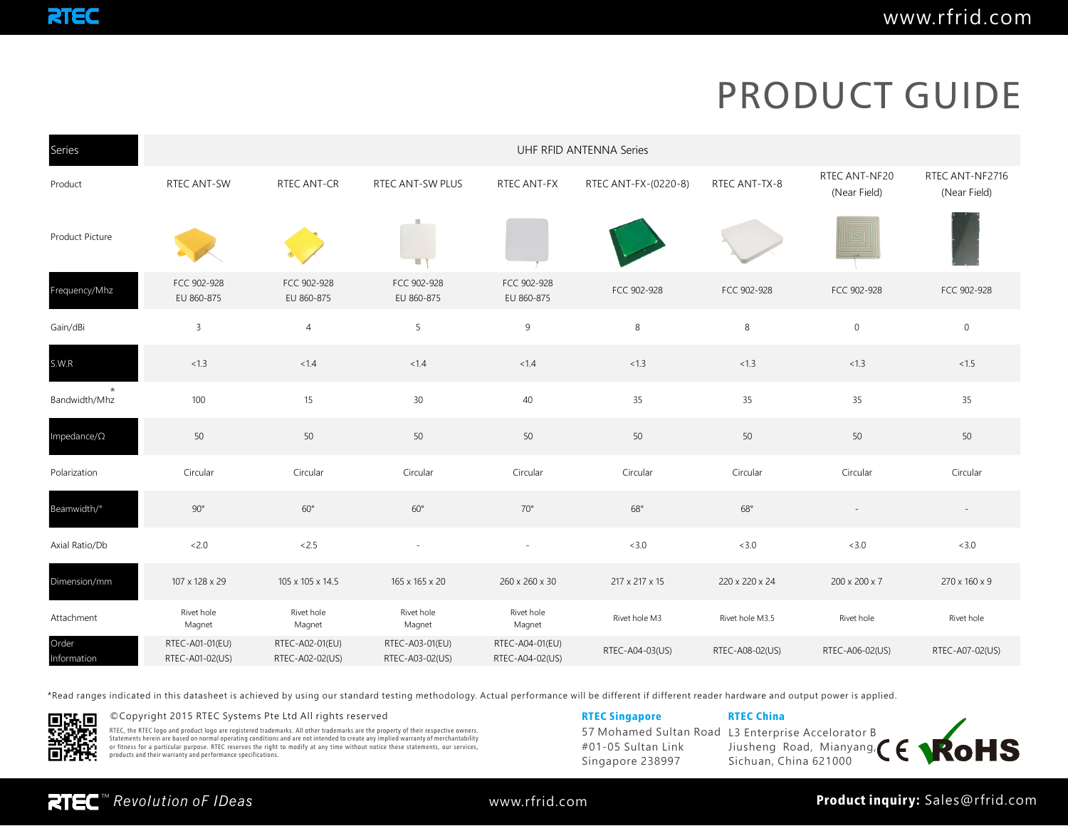| Series                   | UHF RFID ANTENNA Series            |                                    |                                    |                                    |                      |                 |                               |                                 |  |  |  |
|--------------------------|------------------------------------|------------------------------------|------------------------------------|------------------------------------|----------------------|-----------------|-------------------------------|---------------------------------|--|--|--|
| Product                  | RTEC ANT-SW                        | <b>RTEC ANT-CR</b>                 | RTEC ANT-SW PLUS                   | RTEC ANT-FX                        | RTEC ANT-FX-(0220-8) | RTEC ANT-TX-8   | RTEC ANT-NF20<br>(Near Field) | RTEC ANT-NF2716<br>(Near Field) |  |  |  |
| Product Picture          |                                    |                                    | E.                                 |                                    |                      |                 |                               |                                 |  |  |  |
| Frequency/Mhz            | FCC 902-928<br>EU 860-875          | FCC 902-928<br>EU 860-875          | FCC 902-928<br>EU 860-875          | FCC 902-928<br>EU 860-875          | FCC 902-928          | FCC 902-928     | FCC 902-928                   | FCC 902-928                     |  |  |  |
| Gain/dBi                 | 3                                  | $\overline{4}$                     | 5                                  | 9                                  | 8                    | 8               | $\mathbb O$                   | $\mathbf 0$                     |  |  |  |
| S.W.R                    | < 1.3                              | < 1.4                              | < 1.4                              | < 1.4                              | < 1.3                | < 1.3           | < 1.3                         | < 1.5                           |  |  |  |
| $\star$<br>Bandwidth/Mhz | 100                                | 15                                 | 30                                 | 40                                 | 35                   | 35              | 35                            | 35                              |  |  |  |
| Impedance/ $\Omega$      | 50                                 | 50                                 | 50                                 | 50                                 | 50                   | 50              | 50                            | 50                              |  |  |  |
| Polarization             | Circular                           | Circular                           | Circular                           | Circular                           | Circular             | Circular        | Circular                      | Circular                        |  |  |  |
| Beamwidth/°              | $90^{\circ}$                       | $60^{\circ}$                       | $60^{\circ}$                       | $70^{\circ}$                       | $68^\circ$           | $68^{\circ}$    |                               | $\sim$                          |  |  |  |
| Axial Ratio/Db           | <2.0                               | <2.5                               | $\overline{\phantom{a}}$           | $\sim$                             | <3.0                 | <3.0            | <3.0                          | <3.0                            |  |  |  |
| Dimension/mm             | 107 x 128 x 29                     | 105 x 105 x 14.5                   | 165 x 165 x 20                     | 260 x 260 x 30                     | 217 x 217 x 15       | 220 x 220 x 24  | 200 x 200 x 7                 | 270 x 160 x 9                   |  |  |  |
| Attachment               | Rivet hole<br>Magnet               | Rivet hole<br>Magnet               | Rivet hole<br>Magnet               | Rivet hole<br>Magnet               | Rivet hole M3        | Rivet hole M3.5 | Rivet hole                    | Rivet hole                      |  |  |  |
| Order<br>Information     | RTEC-A01-01(EU)<br>RTEC-A01-02(US) | RTEC-A02-01(EU)<br>RTEC-A02-02(US) | RTEC-A03-01(EU)<br>RTEC-A03-02(US) | RTEC-A04-01(EU)<br>RTEC-A04-02(US) | RTEC-A04-03(US)      | RTEC-A08-02(US) | RTEC-A06-02(US)               | RTEC-A07-02(US)                 |  |  |  |

\*Read ranges indicated in this datasheet is achieved by using our standard testing methodology. Actual performance will be different if different reader hardware and output power is applied.



### ©Copyright 2015 RTEC Systems Pte Ltd All rights reserved **RTEC Systems Pte China** RTEC Singapore RTEC China

RTEC, the RTEC logo and product logo are registered trademarks. All other trademarks are the property of their respective owners.<br>Statements herein are based on normal operating conditions and are not intended to create an

57 Mohamed Sultan Road #01-05 Sultan Link Singapore 238997 L3 Enterprise Accelorator B Jiusheng Road, Mianyang, Sichuan, China 621000